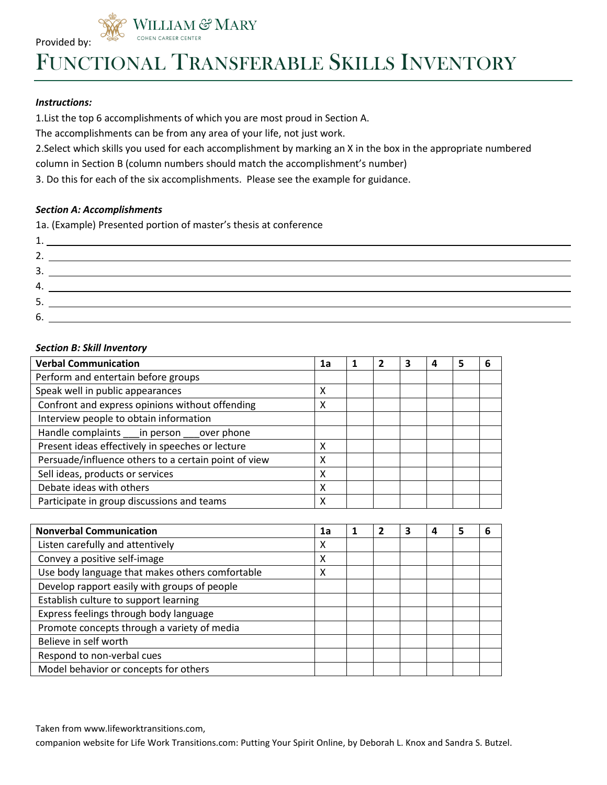

FUNCTIONAL TRANSFERABLE SKILLS INVENTORY

## *Instructions:*

1.List the top 6 accomplishments of which you are most proud in Section A.

**ILLIAM & MARY** 

The accomplishments can be from any area of your life, not just work.

2.Select which skills you used for each accomplishment by marking an X in the box in the appropriate numbered

column in Section B (column numbers should match the accomplishment's number)

3. Do this for each of the six accomplishments. Please see the example for guidance.

## *Section A: Accomplishments*

1a. (Example) Presented portion of master's thesis at conference

| 4. |                                                               |
|----|---------------------------------------------------------------|
| 5. | <u> 1989 - Johann Stein, mars an deutscher Stein († 1989)</u> |
| ხ. |                                                               |

## *Section B: Skill Inventory*

| <b>Verbal Communication</b>                          | 1a |  | з | 4 | 5 | 6 |
|------------------------------------------------------|----|--|---|---|---|---|
| Perform and entertain before groups                  |    |  |   |   |   |   |
| Speak well in public appearances                     | X  |  |   |   |   |   |
| Confront and express opinions without offending      | x  |  |   |   |   |   |
| Interview people to obtain information               |    |  |   |   |   |   |
| Handle complaints ___ in person ___ over phone       |    |  |   |   |   |   |
| Present ideas effectively in speeches or lecture     | X  |  |   |   |   |   |
| Persuade/influence others to a certain point of view | X  |  |   |   |   |   |
| Sell ideas, products or services                     | x  |  |   |   |   |   |
| Debate ideas with others                             | X  |  |   |   |   |   |
| Participate in group discussions and teams           | X  |  |   |   |   |   |

| <b>Nonverbal Communication</b>                  | 1a |  | З | 4 | 5 | n |
|-------------------------------------------------|----|--|---|---|---|---|
| Listen carefully and attentively                | х  |  |   |   |   |   |
| Convey a positive self-image                    | x  |  |   |   |   |   |
| Use body language that makes others comfortable | x  |  |   |   |   |   |
| Develop rapport easily with groups of people    |    |  |   |   |   |   |
| Establish culture to support learning           |    |  |   |   |   |   |
| Express feelings through body language          |    |  |   |   |   |   |
| Promote concepts through a variety of media     |    |  |   |   |   |   |
| Believe in self worth                           |    |  |   |   |   |   |
| Respond to non-verbal cues                      |    |  |   |   |   |   |
| Model behavior or concepts for others           |    |  |   |   |   |   |

Taken from www.lifeworktransitions.com,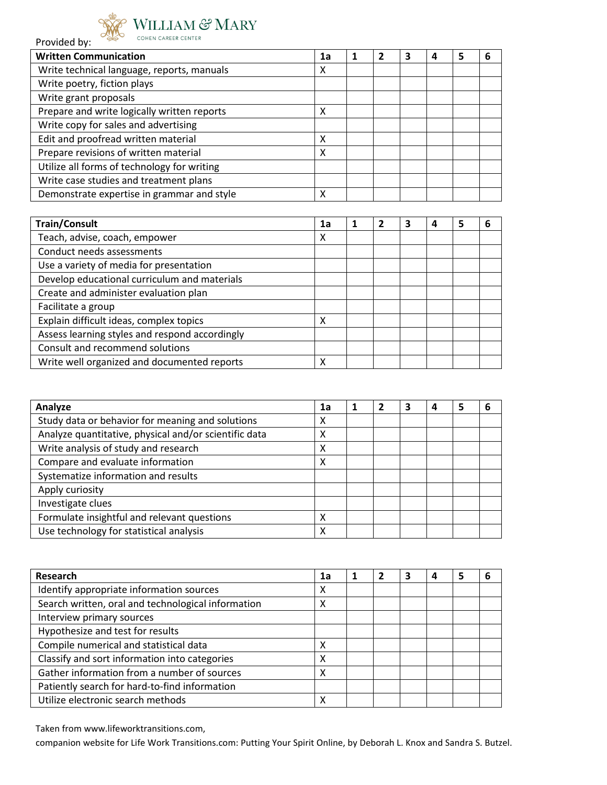

## $\underset{\scriptscriptstyle{\text{COHEN CAREER CENTER}}}{\text{WILLIAN}} \mathcal{\mathfrak{S}^{\!2}} \, \text{MARY}$

| <b>Written Communication</b>                | 1a |  | З | 4 | 5 | 6 |
|---------------------------------------------|----|--|---|---|---|---|
| Write technical language, reports, manuals  | x  |  |   |   |   |   |
| Write poetry, fiction plays                 |    |  |   |   |   |   |
| Write grant proposals                       |    |  |   |   |   |   |
| Prepare and write logically written reports | Χ  |  |   |   |   |   |
| Write copy for sales and advertising        |    |  |   |   |   |   |
| Edit and proofread written material         | χ  |  |   |   |   |   |
| Prepare revisions of written material       | χ  |  |   |   |   |   |
| Utilize all forms of technology for writing |    |  |   |   |   |   |
| Write case studies and treatment plans      |    |  |   |   |   |   |
| Demonstrate expertise in grammar and style  | х  |  |   |   |   |   |

| <b>Train/Consult</b>                           | 1a |  | 4 | 5 |  |
|------------------------------------------------|----|--|---|---|--|
| Teach, advise, coach, empower                  | х  |  |   |   |  |
| Conduct needs assessments                      |    |  |   |   |  |
| Use a variety of media for presentation        |    |  |   |   |  |
| Develop educational curriculum and materials   |    |  |   |   |  |
| Create and administer evaluation plan          |    |  |   |   |  |
| Facilitate a group                             |    |  |   |   |  |
| Explain difficult ideas, complex topics        | χ  |  |   |   |  |
| Assess learning styles and respond accordingly |    |  |   |   |  |
| Consult and recommend solutions                |    |  |   |   |  |
| Write well organized and documented reports    | Χ  |  |   |   |  |

| Analyze                                               | 1a |  | 3 | 4 | 5 | 6 |
|-------------------------------------------------------|----|--|---|---|---|---|
| Study data or behavior for meaning and solutions      | X  |  |   |   |   |   |
| Analyze quantitative, physical and/or scientific data | χ  |  |   |   |   |   |
| Write analysis of study and research                  | X  |  |   |   |   |   |
| Compare and evaluate information                      | x  |  |   |   |   |   |
| Systematize information and results                   |    |  |   |   |   |   |
| Apply curiosity                                       |    |  |   |   |   |   |
| Investigate clues                                     |    |  |   |   |   |   |
| Formulate insightful and relevant questions           | х  |  |   |   |   |   |
| Use technology for statistical analysis               | Χ  |  |   |   |   |   |

| Research                                           | 1a |  | З | 4 | 5 | 6 |
|----------------------------------------------------|----|--|---|---|---|---|
| Identify appropriate information sources           | Χ  |  |   |   |   |   |
| Search written, oral and technological information | χ  |  |   |   |   |   |
| Interview primary sources                          |    |  |   |   |   |   |
| Hypothesize and test for results                   |    |  |   |   |   |   |
| Compile numerical and statistical data             | х  |  |   |   |   |   |
| Classify and sort information into categories      | χ  |  |   |   |   |   |
| Gather information from a number of sources        | х  |  |   |   |   |   |
| Patiently search for hard-to-find information      |    |  |   |   |   |   |
| Utilize electronic search methods                  | х  |  |   |   |   |   |

Taken from www.lifeworktransitions.com,

companion website for Life Work Transitions.com: Putting Your Spirit Online, by Deborah L. Knox and Sandra S. Butzel.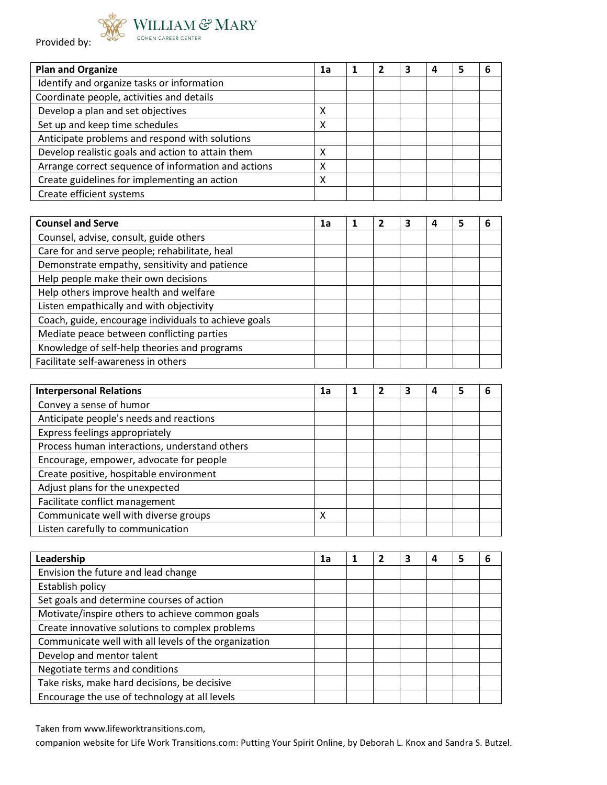



| <b>Plan and Organize</b>                            | 1a |  | з | 4 | 5 | h |
|-----------------------------------------------------|----|--|---|---|---|---|
| Identify and organize tasks or information          |    |  |   |   |   |   |
| Coordinate people, activities and details           |    |  |   |   |   |   |
| Develop a plan and set objectives                   | х  |  |   |   |   |   |
| Set up and keep time schedules                      | χ  |  |   |   |   |   |
| Anticipate problems and respond with solutions      |    |  |   |   |   |   |
| Develop realistic goals and action to attain them   | х  |  |   |   |   |   |
| Arrange correct sequence of information and actions | χ  |  |   |   |   |   |
| Create guidelines for implementing an action        | χ  |  |   |   |   |   |
| Create efficient systems                            |    |  |   |   |   |   |

| <b>Counsel and Serve</b>                             | 1a |  |  |  |
|------------------------------------------------------|----|--|--|--|
| Counsel, advise, consult, guide others               |    |  |  |  |
| Care for and serve people; rehabilitate, heal        |    |  |  |  |
| Demonstrate empathy, sensitivity and patience        |    |  |  |  |
| Help people make their own decisions                 |    |  |  |  |
| Help others improve health and welfare               |    |  |  |  |
| Listen empathically and with objectivity             |    |  |  |  |
| Coach, guide, encourage individuals to achieve goals |    |  |  |  |
| Mediate peace between conflicting parties            |    |  |  |  |
| Knowledge of self-help theories and programs         |    |  |  |  |
| Facilitate self-awareness in others                  |    |  |  |  |

| <b>Interpersonal Relations</b>                | 1a |  | з | 4 | 5 | 6 |
|-----------------------------------------------|----|--|---|---|---|---|
| Convey a sense of humor                       |    |  |   |   |   |   |
| Anticipate people's needs and reactions       |    |  |   |   |   |   |
| Express feelings appropriately                |    |  |   |   |   |   |
| Process human interactions, understand others |    |  |   |   |   |   |
| Encourage, empower, advocate for people       |    |  |   |   |   |   |
| Create positive, hospitable environment       |    |  |   |   |   |   |
| Adjust plans for the unexpected               |    |  |   |   |   |   |
| Facilitate conflict management                |    |  |   |   |   |   |
| Communicate well with diverse groups          | х  |  |   |   |   |   |
| Listen carefully to communication             |    |  |   |   |   |   |

| Leadership                                           | 1a |  | 3 | 4 | 5 | 6 |
|------------------------------------------------------|----|--|---|---|---|---|
| Envision the future and lead change                  |    |  |   |   |   |   |
| Establish policy                                     |    |  |   |   |   |   |
| Set goals and determine courses of action            |    |  |   |   |   |   |
| Motivate/inspire others to achieve common goals      |    |  |   |   |   |   |
| Create innovative solutions to complex problems      |    |  |   |   |   |   |
| Communicate well with all levels of the organization |    |  |   |   |   |   |
| Develop and mentor talent                            |    |  |   |   |   |   |
| Negotiate terms and conditions                       |    |  |   |   |   |   |
| Take risks, make hard decisions, be decisive         |    |  |   |   |   |   |
| Encourage the use of technology at all levels        |    |  |   |   |   |   |

Taken from www.lifeworktransitions.com,

companion website for Life Work Transitions.com: Putting Your Spirit Online, by Deborah L. Knox and Sandra S. Butzel.